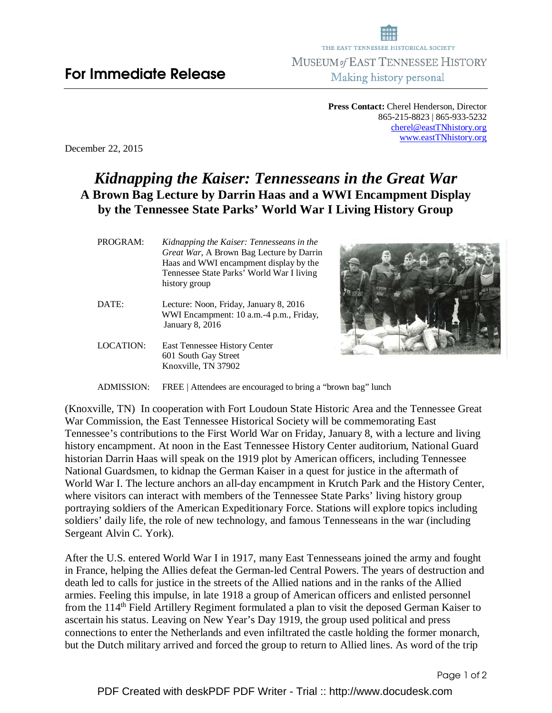**Press Contact:** Cherel Henderson, Director 865-215-8823 | 865-933-5232 cherel@eastTNhistory.org www.eastTNhistory.org

December 22, 2015

## *Kidnapping the Kaiser: Tennesseans in the Great War* **A Brown Bag Lecture by Darrin Haas and a WWI Encampment Display by the Tennessee State Parks' World War I Living History Group**

| PROGRAM: | Kidnapping the Kaiser: Tennesseans in the        |
|----------|--------------------------------------------------|
|          | <i>Great War</i> , A Brown Bag Lecture by Darrin |
|          | Haas and WWI encampment display by the           |
|          | Tennessee State Parks' World War I living        |
|          | history group                                    |
|          |                                                  |

- DATE: Lecture: Noon, Friday, January 8, 2016 WWI Encampment: 10 a.m.-4 p.m., Friday, January 8, 2016
- LOCATION: East Tennessee History Center 601 South Gay Street Knoxville, TN 37902



ADMISSION: FREE | Attendees are encouraged to bring a "brown bag" lunch

(Knoxville, TN) In cooperation with Fort Loudoun State Historic Area and the Tennessee Great War Commission, the East Tennessee Historical Society will be commemorating East Tennessee's contributions to the First World War on Friday, January 8, with a lecture and living history encampment. At noon in the East Tennessee History Center auditorium, National Guard historian Darrin Haas will speak on the 1919 plot by American officers, including Tennessee National Guardsmen, to kidnap the German Kaiser in a quest for justice in the aftermath of World War I. The lecture anchors an all-day encampment in Krutch Park and the History Center, where visitors can interact with members of the Tennessee State Parks' living history group portraying soldiers of the American Expeditionary Force. Stations will explore topics including soldiers' daily life, the role of new technology, and famous Tennesseans in the war (including Sergeant Alvin C. York).

After the U.S. entered World War I in 1917, many East Tennesseans joined the army and fought in France, helping the Allies defeat the German-led Central Powers. The years of destruction and death led to calls for justice in the streets of the Allied nations and in the ranks of the Allied armies. Feeling this impulse, in late 1918 a group of American officers and enlisted personnel from the 114<sup>th</sup> Field Artillery Regiment formulated a plan to visit the deposed German Kaiser to ascertain his status. Leaving on New Year's Day 1919, the group used political and press connections to enter the Netherlands and even infiltrated the castle holding the former monarch, but the Dutch military arrived and forced the group to return to Allied lines. As word of the trip

Page 1 of 2